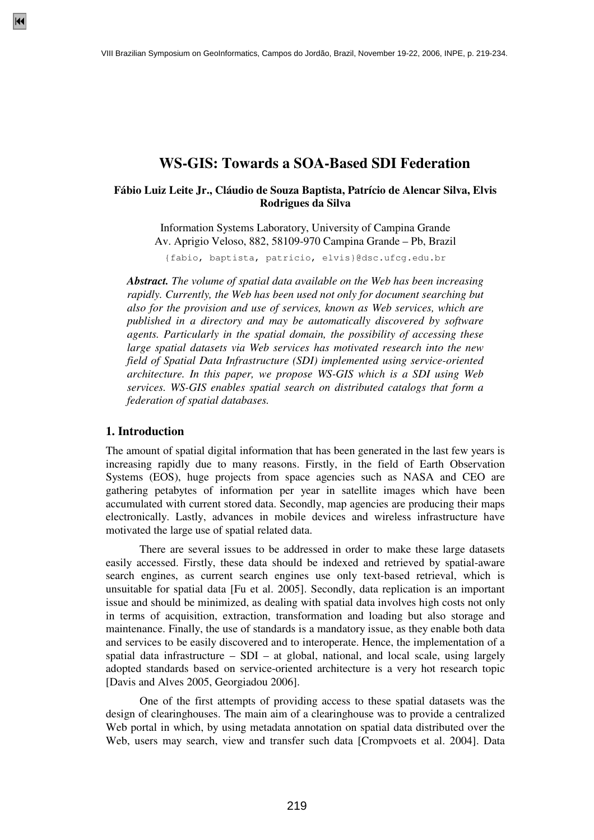# **WS-GIS: Towards a SOA-Based SDI Federation**

## **Fábio Luiz Leite Jr., Cláudio de Souza Baptista, Patrício de Alencar Silva, Elvis Rodrigues da Silva**

Information Systems Laboratory, University of Campina Grande Av. Aprigio Veloso, 882, 58109-970 Campina Grande – Pb, Brazil

{fabio, baptista, patricio, elvis}@dsc.ufcg.edu.br

*Abstract. The volume of spatial data available on the Web has been increasing rapidly. Currently, the Web has been used not only for document searching but also for the provision and use of services, known as Web services, which are published in a directory and may be automatically discovered by software agents. Particularly in the spatial domain, the possibility of accessing these large spatial datasets via Web services has motivated research into the new field of Spatial Data Infrastructure (SDI) implemented using service-oriented architecture. In this paper, we propose WS-GIS which is a SDI using Web services. WS-GIS enables spatial search on distributed catalogs that form a federation of spatial databases.* 

### **1. Introduction**

The amount of spatial digital information that has been generated in the last few years is increasing rapidly due to many reasons. Firstly, in the field of Earth Observation Systems (EOS), huge projects from space agencies such as NASA and CEO are gathering petabytes of information per year in satellite images which have been accumulated with current stored data. Secondly, map agencies are producing their maps electronically. Lastly, advances in mobile devices and wireless infrastructure have motivated the large use of spatial related data.

 There are several issues to be addressed in order to make these large datasets easily accessed. Firstly, these data should be indexed and retrieved by spatial-aware search engines, as current search engines use only text-based retrieval, which is unsuitable for spatial data [Fu et al. 2005]. Secondly, data replication is an important issue and should be minimized, as dealing with spatial data involves high costs not only in terms of acquisition, extraction, transformation and loading but also storage and maintenance. Finally, the use of standards is a mandatory issue, as they enable both data and services to be easily discovered and to interoperate. Hence, the implementation of a spatial data infrastructure – SDI – at global, national, and local scale, using largely adopted standards based on service-oriented architecture is a very hot research topic [Davis and Alves 2005, Georgiadou 2006].

 One of the first attempts of providing access to these spatial datasets was the design of clearinghouses. The main aim of a clearinghouse was to provide a centralized Web portal in which, by using metadata annotation on spatial data distributed over the Web, users may search, view and transfer such data [Crompvoets et al. 2004]. Data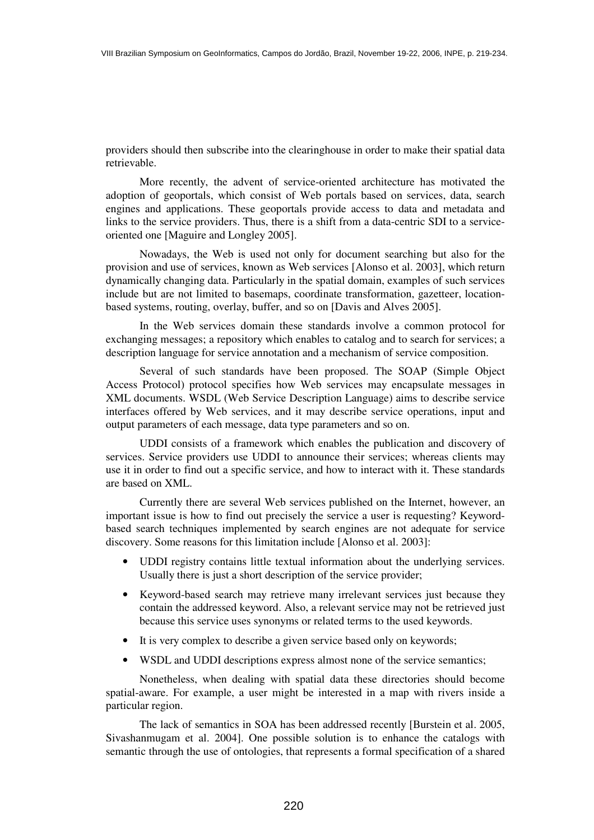providers should then subscribe into the clearinghouse in order to make their spatial data retrievable.

 More recently, the advent of service-oriented architecture has motivated the adoption of geoportals, which consist of Web portals based on services, data, search engines and applications. These geoportals provide access to data and metadata and links to the service providers. Thus, there is a shift from a data-centric SDI to a serviceoriented one [Maguire and Longley 2005].

 Nowadays, the Web is used not only for document searching but also for the provision and use of services, known as Web services [Alonso et al. 2003], which return dynamically changing data. Particularly in the spatial domain, examples of such services include but are not limited to basemaps, coordinate transformation, gazetteer, locationbased systems, routing, overlay, buffer, and so on [Davis and Alves 2005].

 In the Web services domain these standards involve a common protocol for exchanging messages; a repository which enables to catalog and to search for services; a description language for service annotation and a mechanism of service composition.

 Several of such standards have been proposed. The SOAP (Simple Object Access Protocol) protocol specifies how Web services may encapsulate messages in XML documents. WSDL (Web Service Description Language) aims to describe service interfaces offered by Web services, and it may describe service operations, input and output parameters of each message, data type parameters and so on.

 UDDI consists of a framework which enables the publication and discovery of services. Service providers use UDDI to announce their services; whereas clients may use it in order to find out a specific service, and how to interact with it. These standards are based on XML.

 Currently there are several Web services published on the Internet, however, an important issue is how to find out precisely the service a user is requesting? Keywordbased search techniques implemented by search engines are not adequate for service discovery. Some reasons for this limitation include [Alonso et al. 2003]:

- UDDI registry contains little textual information about the underlying services. Usually there is just a short description of the service provider;
- Keyword-based search may retrieve many irrelevant services just because they contain the addressed keyword. Also, a relevant service may not be retrieved just because this service uses synonyms or related terms to the used keywords.
- It is very complex to describe a given service based only on keywords:
- WSDL and UDDI descriptions express almost none of the service semantics;

 Nonetheless, when dealing with spatial data these directories should become spatial-aware. For example, a user might be interested in a map with rivers inside a particular region.

 The lack of semantics in SOA has been addressed recently [Burstein et al. 2005, Sivashanmugam et al. 2004]. One possible solution is to enhance the catalogs with semantic through the use of ontologies, that represents a formal specification of a shared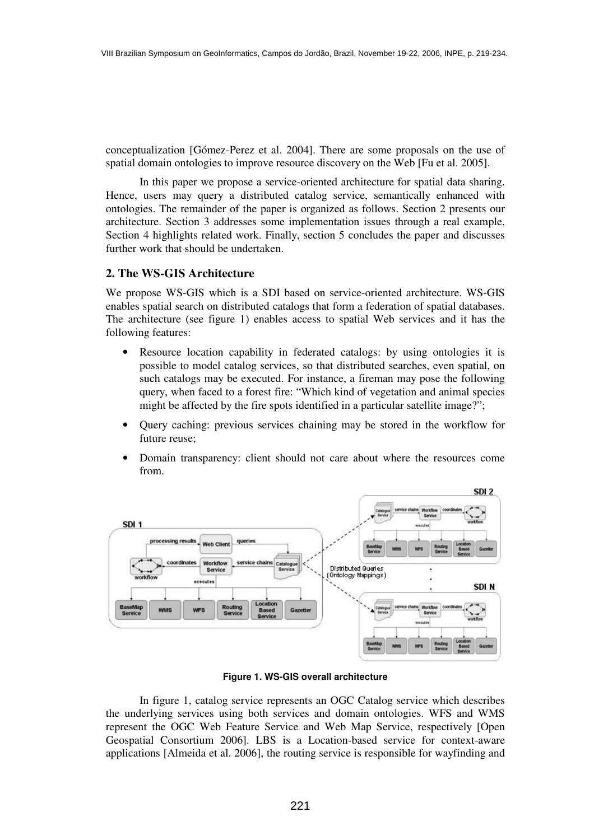conceptualization [Gómez-Perez et al. 2004]. There are some proposals on the use of spatial domain ontologies to improve resource discovery on the Web [Fu et al. 2005].

 In this paper we propose a service-oriented architecture for spatial data sharing. Hence, users may query a distributed catalog service, semantically enhanced with ontologies. The remainder of the paper is organized as follows. Section 2 presents our architecture. Section 3 addresses some implementation issues through a real example. Section 4 highlights related work. Finally, section 5 concludes the paper and discusses further work that should be undertaken.

## **2. The WS-GIS Architecture**

We propose WS-GIS which is a SDI based on service-oriented architecture. WS-GIS enables spatial search on distributed catalogs that form a federation of spatial databases. The architecture (see figure 1) enables access to spatial Web services and it has the following features:

- Resource location capability in federated catalogs: by using ontologies it is possible to model catalog services, so that distributed searches, even spatial, on such catalogs may be executed. For instance, a fireman may pose the following query, when faced to a forest fire: "Which kind of vegetation and animal species might be affected by the fire spots identified in a particular satellite image?";
- Query caching: previous services chaining may be stored in the workflow for future reuse;
- Domain transparency: client should not care about where the resources come from.



**Figure 1. WS-GIS overall architecture** 

 In figure 1, catalog service represents an OGC Catalog service which describes the underlying services using both services and domain ontologies. WFS and WMS represent the OGC Web Feature Service and Web Map Service, respectively [Open Geospatial Consortium 2006]. LBS is a Location-based service for context-aware applications [Almeida et al. 2006], the routing service is responsible for wayfinding and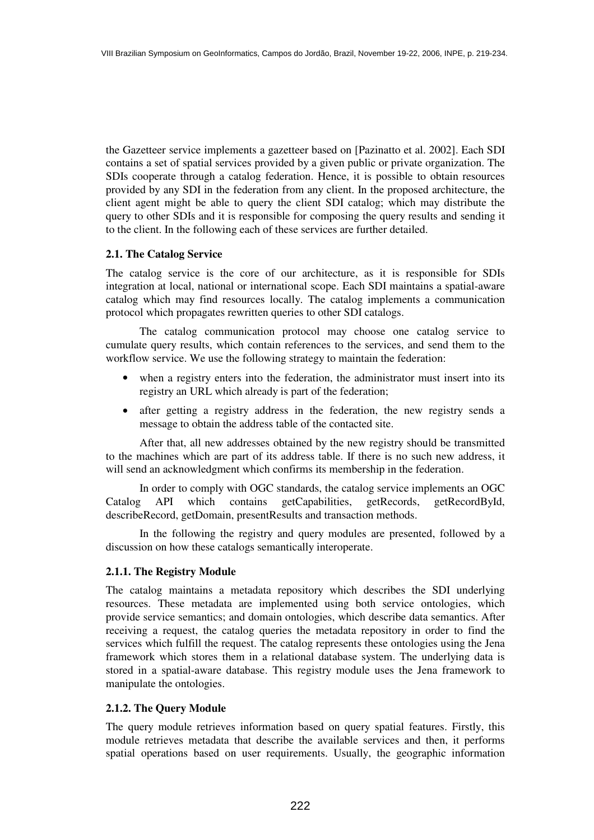the Gazetteer service implements a gazetteer based on [Pazinatto et al. 2002]. Each SDI contains a set of spatial services provided by a given public or private organization. The SDIs cooperate through a catalog federation. Hence, it is possible to obtain resources provided by any SDI in the federation from any client. In the proposed architecture, the client agent might be able to query the client SDI catalog; which may distribute the query to other SDIs and it is responsible for composing the query results and sending it to the client. In the following each of these services are further detailed.

## **2.1. The Catalog Service**

The catalog service is the core of our architecture, as it is responsible for SDIs integration at local, national or international scope. Each SDI maintains a spatial-aware catalog which may find resources locally. The catalog implements a communication protocol which propagates rewritten queries to other SDI catalogs.

 The catalog communication protocol may choose one catalog service to cumulate query results, which contain references to the services, and send them to the workflow service. We use the following strategy to maintain the federation:

- when a registry enters into the federation, the administrator must insert into its registry an URL which already is part of the federation;
- after getting a registry address in the federation, the new registry sends a message to obtain the address table of the contacted site.

 After that, all new addresses obtained by the new registry should be transmitted to the machines which are part of its address table. If there is no such new address, it will send an acknowledgment which confirms its membership in the federation.

 In order to comply with OGC standards, the catalog service implements an OGC Catalog API which contains getCapabilities, getRecords, getRecordById, describeRecord, getDomain, presentResults and transaction methods.

 In the following the registry and query modules are presented, followed by a discussion on how these catalogs semantically interoperate.

## **2.1.1. The Registry Module**

The catalog maintains a metadata repository which describes the SDI underlying resources. These metadata are implemented using both service ontologies, which provide service semantics; and domain ontologies, which describe data semantics. After receiving a request, the catalog queries the metadata repository in order to find the services which fulfill the request. The catalog represents these ontologies using the Jena framework which stores them in a relational database system. The underlying data is stored in a spatial-aware database. This registry module uses the Jena framework to manipulate the ontologies.

## **2.1.2. The Query Module**

The query module retrieves information based on query spatial features. Firstly, this module retrieves metadata that describe the available services and then, it performs spatial operations based on user requirements. Usually, the geographic information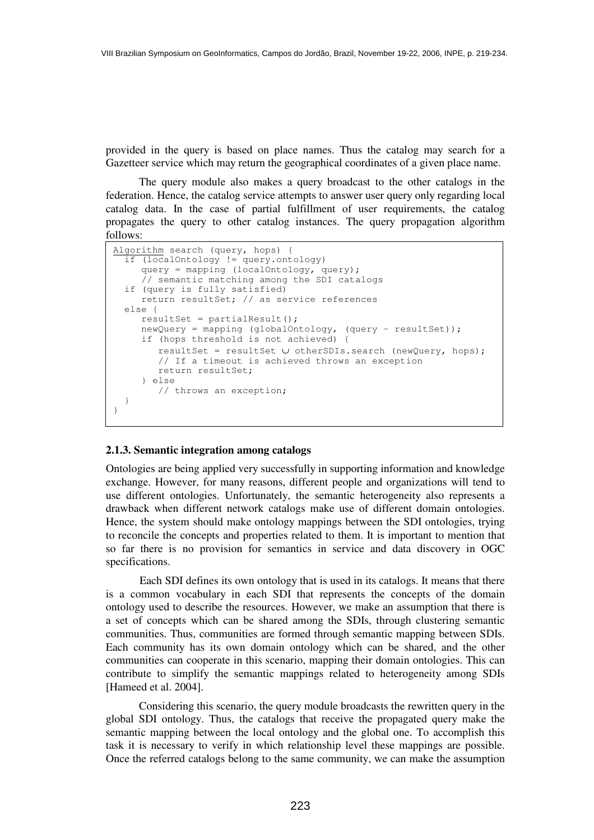provided in the query is based on place names. Thus the catalog may search for a Gazetteer service which may return the geographical coordinates of a given place name.

The query module also makes a query broadcast to the other catalogs in the federation. Hence, the catalog service attempts to answer user query only regarding local catalog data. In the case of partial fulfillment of user requirements, the catalog propagates the query to other catalog instances. The query propagation algorithm follows:

```
Algorithm search (query, hops) { 
   if (localOntology != query.ontology) 
     query = mapping (localOntology, query); // semantic matching among the SDI catalogs 
   if (query is fully satisfied) 
      return resultSet; // as service references 
   else { 
     resultSet = partialResult();
      newQuery = mapping (globalOntology, (query - resultSet)); 
      if (hops threshold is not achieved) { 
         resultSet = resultSet ∪ otherSDIs.search (newQuery, hops); 
         // If a timeout is achieved throws an exception 
         return resultSet; 
      } else 
         // throws an exception; 
   } 
}
```
#### **2.1.3. Semantic integration among catalogs**

Ontologies are being applied very successfully in supporting information and knowledge exchange. However, for many reasons, different people and organizations will tend to use different ontologies. Unfortunately, the semantic heterogeneity also represents a drawback when different network catalogs make use of different domain ontologies. Hence, the system should make ontology mappings between the SDI ontologies, trying to reconcile the concepts and properties related to them. It is important to mention that so far there is no provision for semantics in service and data discovery in OGC specifications.

 Each SDI defines its own ontology that is used in its catalogs. It means that there is a common vocabulary in each SDI that represents the concepts of the domain ontology used to describe the resources. However, we make an assumption that there is a set of concepts which can be shared among the SDIs, through clustering semantic communities. Thus, communities are formed through semantic mapping between SDIs. Each community has its own domain ontology which can be shared, and the other communities can cooperate in this scenario, mapping their domain ontologies. This can contribute to simplify the semantic mappings related to heterogeneity among SDIs [Hameed et al. 2004].

Considering this scenario, the query module broadcasts the rewritten query in the global SDI ontology. Thus, the catalogs that receive the propagated query make the semantic mapping between the local ontology and the global one. To accomplish this task it is necessary to verify in which relationship level these mappings are possible. Once the referred catalogs belong to the same community, we can make the assumption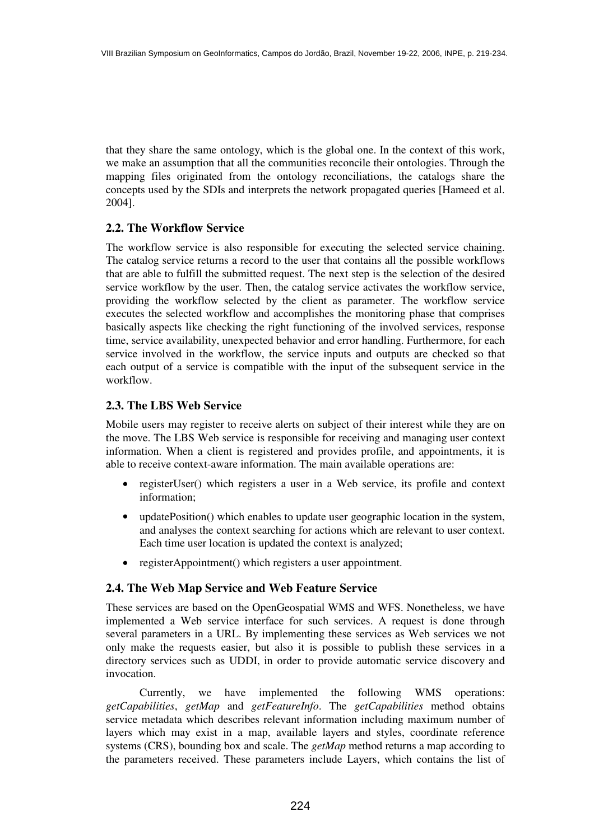that they share the same ontology, which is the global one. In the context of this work, we make an assumption that all the communities reconcile their ontologies. Through the mapping files originated from the ontology reconciliations, the catalogs share the concepts used by the SDIs and interprets the network propagated queries [Hameed et al. 2004].

## **2.2. The Workflow Service**

The workflow service is also responsible for executing the selected service chaining. The catalog service returns a record to the user that contains all the possible workflows that are able to fulfill the submitted request. The next step is the selection of the desired service workflow by the user. Then, the catalog service activates the workflow service, providing the workflow selected by the client as parameter. The workflow service executes the selected workflow and accomplishes the monitoring phase that comprises basically aspects like checking the right functioning of the involved services, response time, service availability, unexpected behavior and error handling. Furthermore, for each service involved in the workflow, the service inputs and outputs are checked so that each output of a service is compatible with the input of the subsequent service in the workflow.

## **2.3. The LBS Web Service**

Mobile users may register to receive alerts on subject of their interest while they are on the move. The LBS Web service is responsible for receiving and managing user context information. When a client is registered and provides profile, and appointments, it is able to receive context-aware information. The main available operations are:

- registerUser() which registers a user in a Web service, its profile and context information;
- updatePosition() which enables to update user geographic location in the system, and analyses the context searching for actions which are relevant to user context. Each time user location is updated the context is analyzed;
- registerAppointment() which registers a user appointment.

## **2.4. The Web Map Service and Web Feature Service**

These services are based on the OpenGeospatial WMS and WFS. Nonetheless, we have implemented a Web service interface for such services. A request is done through several parameters in a URL. By implementing these services as Web services we not only make the requests easier, but also it is possible to publish these services in a directory services such as UDDI, in order to provide automatic service discovery and invocation.

 Currently, we have implemented the following WMS operations: *getCapabilities*, *getMap* and *getFeatureInfo*. The *getCapabilities* method obtains service metadata which describes relevant information including maximum number of layers which may exist in a map, available layers and styles, coordinate reference systems (CRS), bounding box and scale. The *getMap* method returns a map according to the parameters received. These parameters include Layers, which contains the list of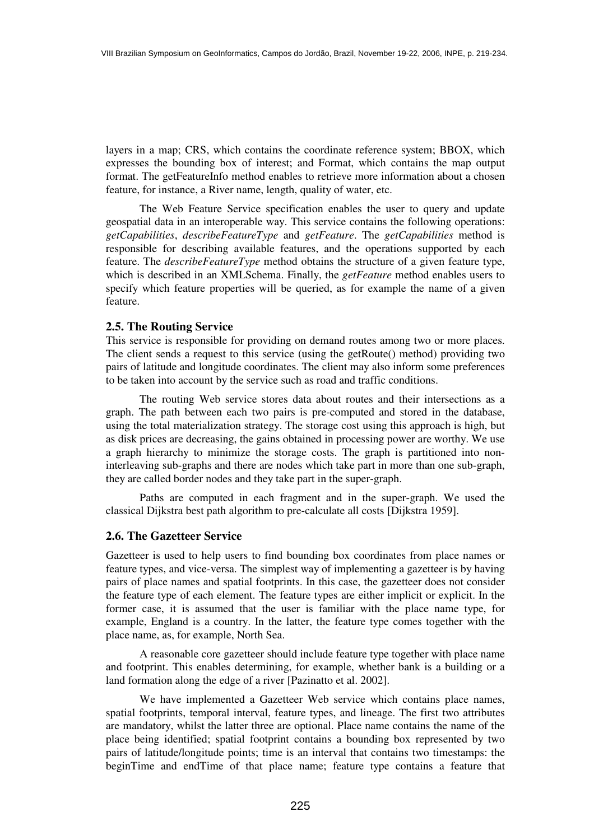layers in a map; CRS, which contains the coordinate reference system; BBOX, which expresses the bounding box of interest; and Format, which contains the map output format. The getFeatureInfo method enables to retrieve more information about a chosen feature, for instance, a River name, length, quality of water, etc.

 The Web Feature Service specification enables the user to query and update geospatial data in an interoperable way. This service contains the following operations: *getCapabilities*, *describeFeatureType* and *getFeature*. The *getCapabilities* method is responsible for describing available features, and the operations supported by each feature. The *describeFeatureType* method obtains the structure of a given feature type, which is described in an XMLSchema. Finally, the *getFeature* method enables users to specify which feature properties will be queried, as for example the name of a given feature.

#### **2.5. The Routing Service**

This service is responsible for providing on demand routes among two or more places. The client sends a request to this service (using the getRoute() method) providing two pairs of latitude and longitude coordinates. The client may also inform some preferences to be taken into account by the service such as road and traffic conditions.

 The routing Web service stores data about routes and their intersections as a graph. The path between each two pairs is pre-computed and stored in the database, using the total materialization strategy. The storage cost using this approach is high, but as disk prices are decreasing, the gains obtained in processing power are worthy. We use a graph hierarchy to minimize the storage costs. The graph is partitioned into noninterleaving sub-graphs and there are nodes which take part in more than one sub-graph, they are called border nodes and they take part in the super-graph.

 Paths are computed in each fragment and in the super-graph. We used the classical Dijkstra best path algorithm to pre-calculate all costs [Dijkstra 1959].

### **2.6. The Gazetteer Service**

Gazetteer is used to help users to find bounding box coordinates from place names or feature types, and vice-versa. The simplest way of implementing a gazetteer is by having pairs of place names and spatial footprints. In this case, the gazetteer does not consider the feature type of each element. The feature types are either implicit or explicit. In the former case, it is assumed that the user is familiar with the place name type, for example, England is a country. In the latter, the feature type comes together with the place name, as, for example, North Sea.

 A reasonable core gazetteer should include feature type together with place name and footprint. This enables determining, for example, whether bank is a building or a land formation along the edge of a river [Pazinatto et al. 2002].

 We have implemented a Gazetteer Web service which contains place names, spatial footprints, temporal interval, feature types, and lineage. The first two attributes are mandatory, whilst the latter three are optional. Place name contains the name of the place being identified; spatial footprint contains a bounding box represented by two pairs of latitude/longitude points; time is an interval that contains two timestamps: the beginTime and endTime of that place name; feature type contains a feature that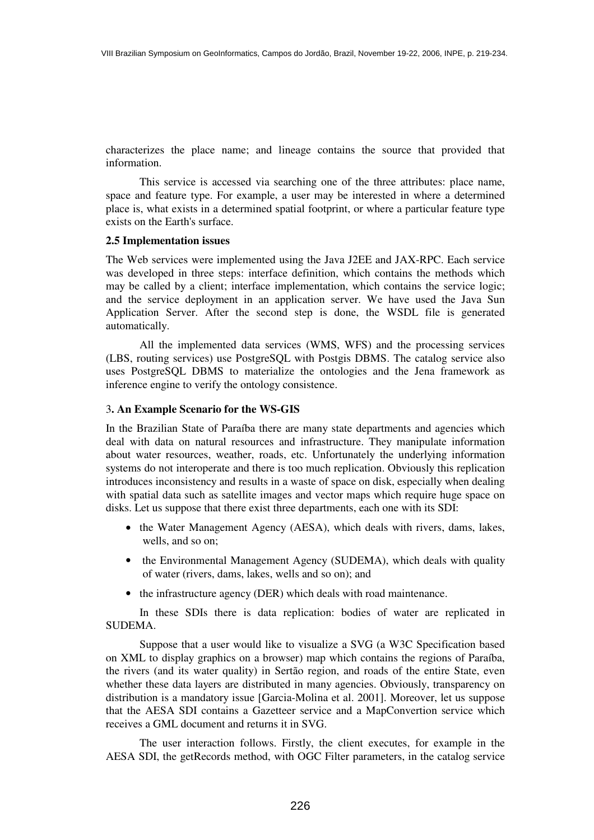characterizes the place name; and lineage contains the source that provided that information.

 This service is accessed via searching one of the three attributes: place name, space and feature type. For example, a user may be interested in where a determined place is, what exists in a determined spatial footprint, or where a particular feature type exists on the Earth's surface.

#### **2.5 Implementation issues**

The Web services were implemented using the Java J2EE and JAX-RPC. Each service was developed in three steps: interface definition, which contains the methods which may be called by a client; interface implementation, which contains the service logic; and the service deployment in an application server. We have used the Java Sun Application Server. After the second step is done, the WSDL file is generated automatically.

 All the implemented data services (WMS, WFS) and the processing services (LBS, routing services) use PostgreSQL with Postgis DBMS. The catalog service also uses PostgreSQL DBMS to materialize the ontologies and the Jena framework as inference engine to verify the ontology consistence.

### 3**. An Example Scenario for the WS-GIS**

In the Brazilian State of Paraíba there are many state departments and agencies which deal with data on natural resources and infrastructure. They manipulate information about water resources, weather, roads, etc. Unfortunately the underlying information systems do not interoperate and there is too much replication. Obviously this replication introduces inconsistency and results in a waste of space on disk, especially when dealing with spatial data such as satellite images and vector maps which require huge space on disks. Let us suppose that there exist three departments, each one with its SDI:

- the Water Management Agency (AESA), which deals with rivers, dams, lakes, wells, and so on;
- the Environmental Management Agency (SUDEMA), which deals with quality of water (rivers, dams, lakes, wells and so on); and
- the infrastructure agency (DER) which deals with road maintenance.

 In these SDIs there is data replication: bodies of water are replicated in SUDEMA.

 Suppose that a user would like to visualize a SVG (a W3C Specification based on XML to display graphics on a browser) map which contains the regions of Paraíba, the rivers (and its water quality) in Sertão region, and roads of the entire State, even whether these data layers are distributed in many agencies. Obviously, transparency on distribution is a mandatory issue [Garcia-Molina et al. 2001]. Moreover, let us suppose that the AESA SDI contains a Gazetteer service and a MapConvertion service which receives a GML document and returns it in SVG.

 The user interaction follows. Firstly, the client executes, for example in the AESA SDI, the getRecords method, with OGC Filter parameters, in the catalog service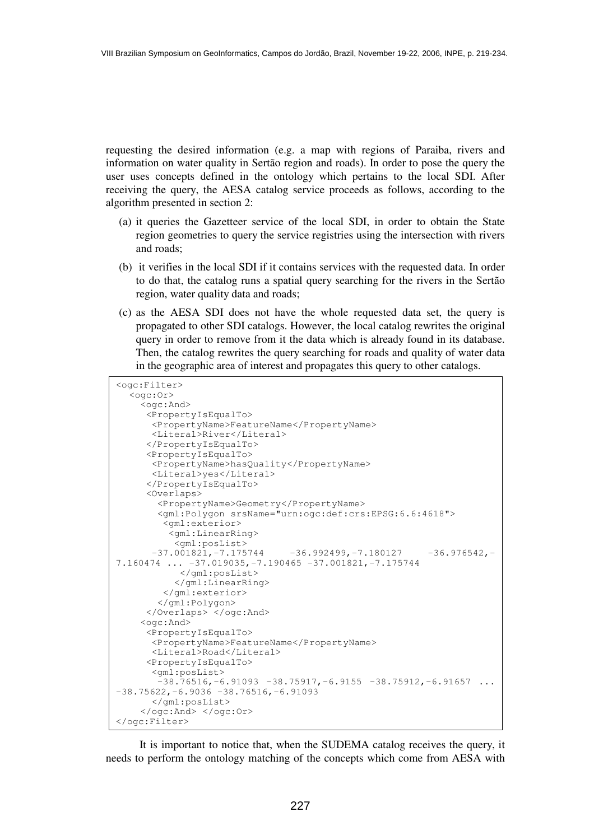requesting the desired information (e.g. a map with regions of Paraiba, rivers and information on water quality in Sertão region and roads). In order to pose the query the user uses concepts defined in the ontology which pertains to the local SDI. After receiving the query, the AESA catalog service proceeds as follows, according to the algorithm presented in section 2:

- (a) it queries the Gazetteer service of the local SDI, in order to obtain the State region geometries to query the service registries using the intersection with rivers and roads;
- (b) it verifies in the local SDI if it contains services with the requested data. In order to do that, the catalog runs a spatial query searching for the rivers in the Sertão region, water quality data and roads;
- (c) as the AESA SDI does not have the whole requested data set, the query is propagated to other SDI catalogs. However, the local catalog rewrites the original query in order to remove from it the data which is already found in its database. Then, the catalog rewrites the query searching for roads and quality of water data in the geographic area of interest and propagates this query to other catalogs.

```
<ogc:Filter> 
   <ogc:Or> 
     <ogc:And> 
      <PropertyIsEqualTo> 
       <PropertyName>FeatureName</PropertyName> 
       <Literal>River</Literal> 
      </PropertyIsEqualTo> 
      <PropertyIsEqualTo> 
       <PropertyName>hasQuality</PropertyName> 
       <Literal>yes</Literal> 
      </PropertyIsEqualTo> 
      <Overlaps> 
        <PropertyName>Geometry</PropertyName> 
        <gml:Polygon srsName="urn:ogc:def:crs:EPSG:6.6:4618"> 
          <gml:exterior> 
           <gml:LinearRing> 
            <gml:posList> 
      -37.001821, -7.175744 -36.992499, -7.180127 -36.976542, -7.160474 ... -37.019035,-7.190465 -37.001821,-7.175744 
             </gml:posList> 
           </gml:LinearRing> 
         </gml:exterior> 
        </gml:Polygon> 
      </Overlaps> </ogc:And> 
     <ogc:And> 
      <PropertyIsEqualTo> 
       <PropertyName>FeatureName</PropertyName> 
       <Literal>Road</Literal> 
      <PropertyIsEqualTo> 
       <gml:posList> 
       -38.76516, -6.91093 -38.75917, -6.9155 -38.75912, -6.91657...-38.75622, -6.9036 -38.76516, -6.91093 </gml:posList> 
     </ogc:And> </ogc:Or> 
</ogc:Filter>
```
 It is important to notice that, when the SUDEMA catalog receives the query, it needs to perform the ontology matching of the concepts which come from AESA with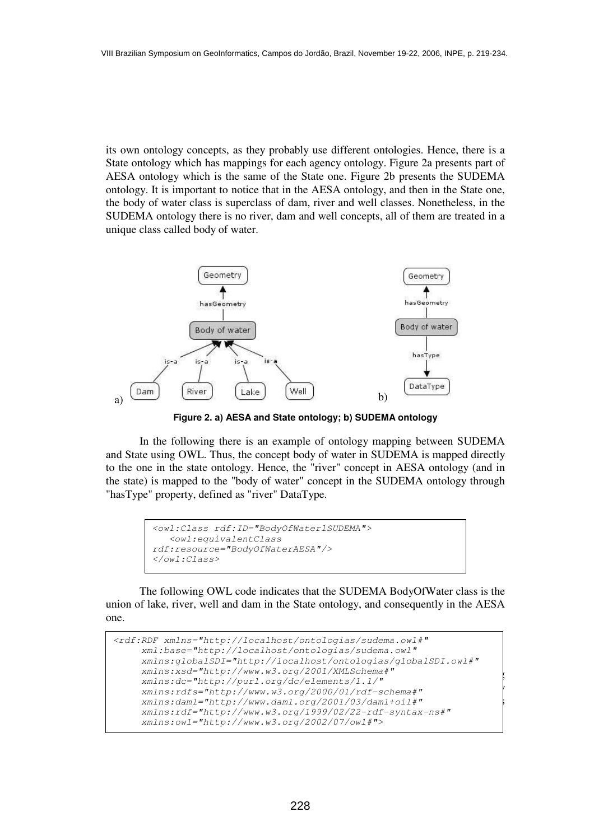its own ontology concepts, as they probably use different ontologies. Hence, there is a State ontology which has mappings for each agency ontology. Figure 2a presents part of AESA ontology which is the same of the State one. Figure 2b presents the SUDEMA ontology. It is important to notice that in the AESA ontology, and then in the State one, the body of water class is superclass of dam, river and well classes. Nonetheless, in the SUDEMA ontology there is no river, dam and well concepts, all of them are treated in a unique class called body of water.



**Figure 2. a) AESA and State ontology; b) SUDEMA ontology** 

 In the following there is an example of ontology mapping between SUDEMA and State using OWL. Thus, the concept body of water in SUDEMA is mapped directly to the one in the state ontology. Hence, the "river" concept in AESA ontology (and in the state) is mapped to the "body of water" concept in the SUDEMA ontology through "hasType" property, defined as "river" DataType.

```
<owl:Class rdf:ID="BodyOfWaterlSUDEMA"> 
    <owl:equivalentClass 
rdf:resource="BodyOfWaterAESA"/> 
</owl:Class>
```
 The following OWL code indicates that the SUDEMA BodyOfWater class is the union of lake, river, well and dam in the State ontology, and consequently in the AESA one.

```
 After solving the mapping between ontology concepts, the SUDEMA catalog 
 xmlns:xsd="http://www.w3.org/2001/XMLSchema#" 
xmlns:ac neep://pail.org/ac/ciements/1.1/<br>xmlns:rdfs="http://www.w3.org/2000/01/rdf-schema#" |
using the State ontology and broadcasts it to other SDI (in this case, the query concerns 
 xmlns:daml="http://www.daml.org/2001/03/daml+oil#" 
only roads). Lastly, it returns the references of the data services to the AESA catalog. 
 xmlns:rdf="http://www.w3.org/1999/02/22-rdf-syntax-ns#" 
 <rdf:RDF xmlns="http://localhost/ontologias/sudema.owl#" 
         xml:base="http://localhost/ontologias/sudema.owl" 
         xmlns:globalSDI="http://localhost/ontologias/globalSDI.owl#" 
         xmlns:dc="http://purl.org/dc/elements/1.1/" 
         xmlns:owl="http://www.w3.org/2002/07/owl#">
```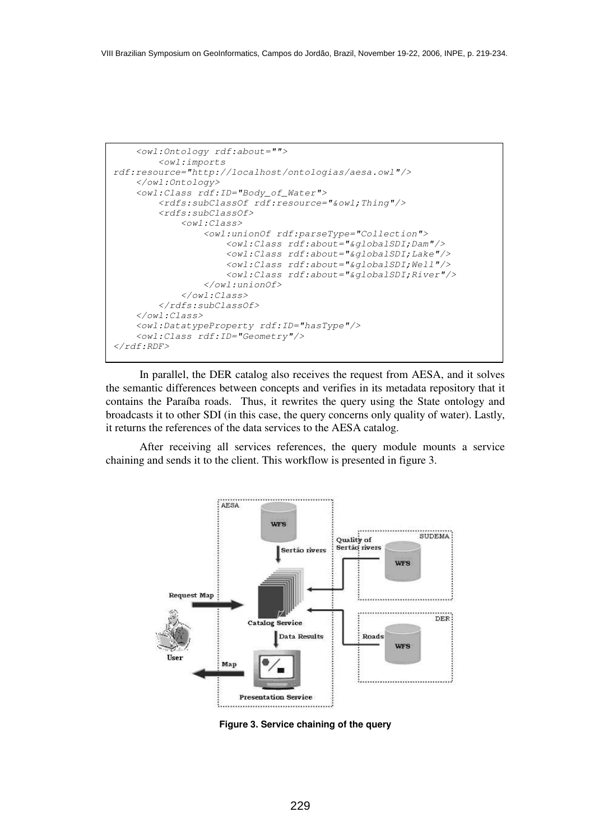```
 <owl:Ontology rdf:about=""> 
         <owl:imports 
rdf:resource="http://localhost/ontologias/aesa.owl"/> 
     </owl:Ontology> 
     <owl:Class rdf:ID="Body_of_Water"> 
         <rdfs:subClassOf rdf:resource="&owl;Thing"/> 
         <rdfs:subClassOf> 
              <owl:Class> 
                  <owl:unionOf rdf:parseType="Collection"> 
                       <owl:Class rdf:about="&globalSDI;Dam"/> 
                       <owl:Class rdf:about="&globalSDI;Lake"/> 
                      <owl:Class rdf:about="&globalSDI;Well"/> 
                       <owl:Class rdf:about="&globalSDI;River"/> 
                  </owl:unionOf> 
              </owl:Class> 
         </rdfs:subClassOf> 
     </owl:Class> 
     <owl:DatatypeProperty rdf:ID="hasType"/> 
     <owl:Class rdf:ID="Geometry"/> 
</rdf:RDF>
```
 In parallel, the DER catalog also receives the request from AESA, and it solves the semantic differences between concepts and verifies in its metadata repository that it contains the Paraíba roads. Thus, it rewrites the query using the State ontology and broadcasts it to other SDI (in this case, the query concerns only quality of water). Lastly, it returns the references of the data services to the AESA catalog.

 After receiving all services references, the query module mounts a service chaining and sends it to the client. This workflow is presented in figure 3.



**Figure 3. Service chaining of the query**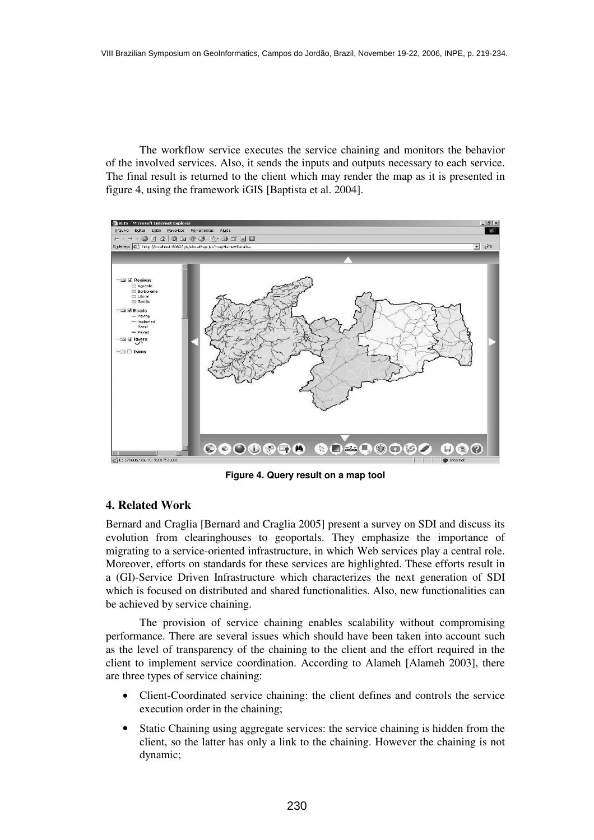The workflow service executes the service chaining and monitors the behavior of the involved services. Also, it sends the inputs and outputs necessary to each service. The final result is returned to the client which may render the map as it is presented in figure 4, using the framework iGIS [Baptista et al. 2004].



**Figure 4. Query result on a map tool** 

# **4. Related Work**

Bernard and Craglia [Bernard and Craglia 2005] present a survey on SDI and discuss its evolution from clearinghouses to geoportals. They emphasize the importance of migrating to a service-oriented infrastructure, in which Web services play a central role. Moreover, efforts on standards for these services are highlighted. These efforts result in a (GI)-Service Driven Infrastructure which characterizes the next generation of SDI which is focused on distributed and shared functionalities. Also, new functionalities can be achieved by service chaining.

 The provision of service chaining enables scalability without compromising performance. There are several issues which should have been taken into account such as the level of transparency of the chaining to the client and the effort required in the client to implement service coordination. According to Alameh [Alameh 2003], there are three types of service chaining:

- Client-Coordinated service chaining: the client defines and controls the service execution order in the chaining;
- Static Chaining using aggregate services: the service chaining is hidden from the client, so the latter has only a link to the chaining. However the chaining is not dynamic;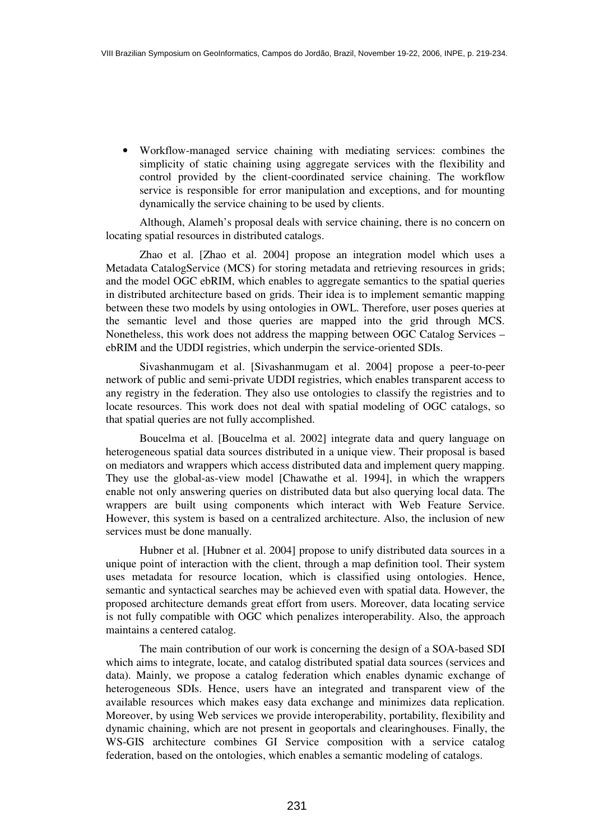• Workflow-managed service chaining with mediating services: combines the simplicity of static chaining using aggregate services with the flexibility and control provided by the client-coordinated service chaining. The workflow service is responsible for error manipulation and exceptions, and for mounting dynamically the service chaining to be used by clients.

 Although, Alameh's proposal deals with service chaining, there is no concern on locating spatial resources in distributed catalogs.

 Zhao et al. [Zhao et al. 2004] propose an integration model which uses a Metadata CatalogService (MCS) for storing metadata and retrieving resources in grids; and the model OGC ebRIM, which enables to aggregate semantics to the spatial queries in distributed architecture based on grids. Their idea is to implement semantic mapping between these two models by using ontologies in OWL. Therefore, user poses queries at the semantic level and those queries are mapped into the grid through MCS. Nonetheless, this work does not address the mapping between OGC Catalog Services – ebRIM and the UDDI registries, which underpin the service-oriented SDIs.

 Sivashanmugam et al. [Sivashanmugam et al. 2004] propose a peer-to-peer network of public and semi-private UDDI registries, which enables transparent access to any registry in the federation. They also use ontologies to classify the registries and to locate resources. This work does not deal with spatial modeling of OGC catalogs, so that spatial queries are not fully accomplished.

 Boucelma et al. [Boucelma et al. 2002] integrate data and query language on heterogeneous spatial data sources distributed in a unique view. Their proposal is based on mediators and wrappers which access distributed data and implement query mapping. They use the global-as-view model [Chawathe et al. 1994], in which the wrappers enable not only answering queries on distributed data but also querying local data. The wrappers are built using components which interact with Web Feature Service. However, this system is based on a centralized architecture. Also, the inclusion of new services must be done manually.

 Hubner et al. [Hubner et al. 2004] propose to unify distributed data sources in a unique point of interaction with the client, through a map definition tool. Their system uses metadata for resource location, which is classified using ontologies. Hence, semantic and syntactical searches may be achieved even with spatial data. However, the proposed architecture demands great effort from users. Moreover, data locating service is not fully compatible with OGC which penalizes interoperability. Also, the approach maintains a centered catalog.

 The main contribution of our work is concerning the design of a SOA-based SDI which aims to integrate, locate, and catalog distributed spatial data sources (services and data). Mainly, we propose a catalog federation which enables dynamic exchange of heterogeneous SDIs. Hence, users have an integrated and transparent view of the available resources which makes easy data exchange and minimizes data replication. Moreover, by using Web services we provide interoperability, portability, flexibility and dynamic chaining, which are not present in geoportals and clearinghouses. Finally, the WS-GIS architecture combines GI Service composition with a service catalog federation, based on the ontologies, which enables a semantic modeling of catalogs.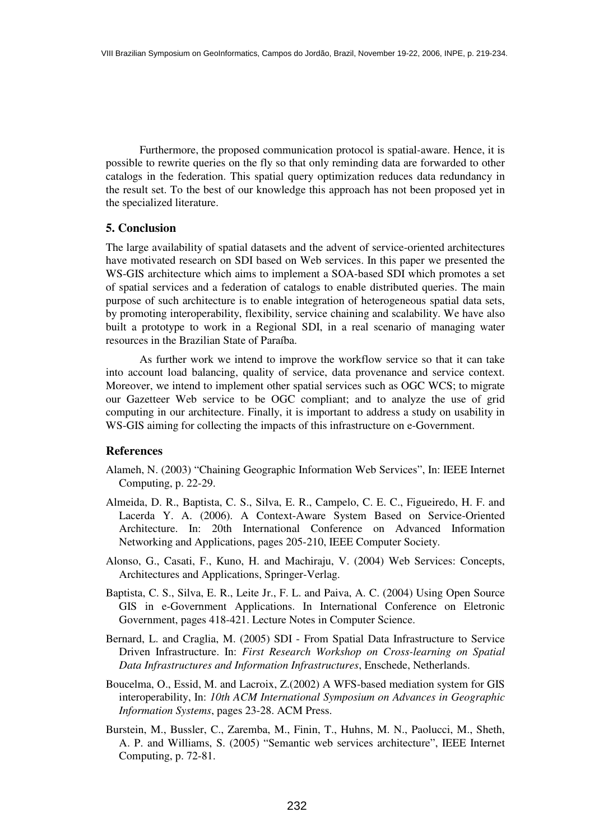Furthermore, the proposed communication protocol is spatial-aware. Hence, it is possible to rewrite queries on the fly so that only reminding data are forwarded to other catalogs in the federation. This spatial query optimization reduces data redundancy in the result set. To the best of our knowledge this approach has not been proposed yet in the specialized literature.

## **5. Conclusion**

The large availability of spatial datasets and the advent of service-oriented architectures have motivated research on SDI based on Web services. In this paper we presented the WS-GIS architecture which aims to implement a SOA-based SDI which promotes a set of spatial services and a federation of catalogs to enable distributed queries. The main purpose of such architecture is to enable integration of heterogeneous spatial data sets, by promoting interoperability, flexibility, service chaining and scalability. We have also built a prototype to work in a Regional SDI, in a real scenario of managing water resources in the Brazilian State of Paraíba.

 As further work we intend to improve the workflow service so that it can take into account load balancing, quality of service, data provenance and service context. Moreover, we intend to implement other spatial services such as OGC WCS; to migrate our Gazetteer Web service to be OGC compliant; and to analyze the use of grid computing in our architecture. Finally, it is important to address a study on usability in WS-GIS aiming for collecting the impacts of this infrastructure on e-Government.

### **References**

- Alameh, N. (2003) "Chaining Geographic Information Web Services", In: IEEE Internet Computing, p. 22-29.
- Almeida, D. R., Baptista, C. S., Silva, E. R., Campelo, C. E. C., Figueiredo, H. F. and Lacerda Y. A. (2006). A Context-Aware System Based on Service-Oriented Architecture. In: 20th International Conference on Advanced Information Networking and Applications, pages 205-210, IEEE Computer Society.
- Alonso, G., Casati, F., Kuno, H. and Machiraju, V. (2004) Web Services: Concepts, Architectures and Applications, Springer-Verlag.
- Baptista, C. S., Silva, E. R., Leite Jr., F. L. and Paiva, A. C. (2004) Using Open Source GIS in e-Government Applications. In International Conference on Eletronic Government, pages 418-421. Lecture Notes in Computer Science.
- Bernard, L. and Craglia, M. (2005) SDI From Spatial Data Infrastructure to Service Driven Infrastructure. In: *First Research Workshop on Cross-learning on Spatial Data Infrastructures and Information Infrastructures*, Enschede, Netherlands.
- Boucelma, O., Essid, M. and Lacroix, Z.(2002) A WFS-based mediation system for GIS interoperability, In: *10th ACM International Symposium on Advances in Geographic Information Systems*, pages 23-28. ACM Press.
- Burstein, M., Bussler, C., Zaremba, M., Finin, T., Huhns, M. N., Paolucci, M., Sheth, A. P. and Williams, S. (2005) "Semantic web services architecture", IEEE Internet Computing, p. 72-81.